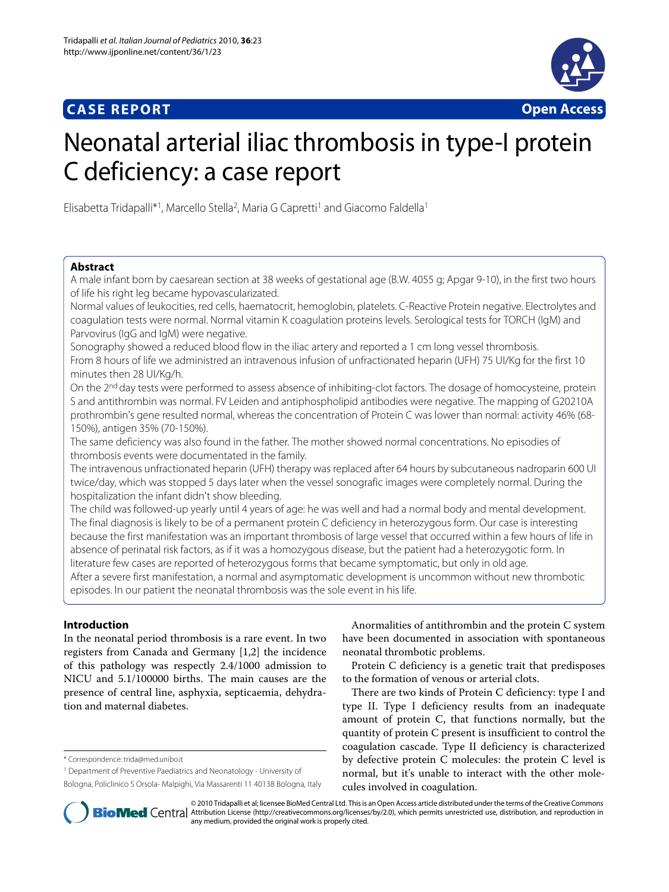## **CASE REPORT Open Access**



# Neonatal arterial iliac thrombosis in type-I protein C deficiency: a case report

Elisabetta Tridapalli\*1, Marcello Stella2, Maria G Capretti1 and Giacomo Faldella1

## **Abstract**

A male infant born by caesarean section at 38 weeks of gestational age (B.W. 4055 g; Apgar 9-10), in the first two hours of life his right leg became hypovascularizated.

Normal values of leukocities, red cells, haematocrit, hemoglobin, platelets. C-Reactive Protein negative. Electrolytes and coagulation tests were normal. Normal vitamin K coagulation proteins levels. Serological tests for TORCH (IgM) and Parvovirus (IgG and IgM) were negative.

Sonography showed a reduced blood flow in the iliac artery and reported a 1 cm long vessel thrombosis.

From 8 hours of life we administred an intravenous infusion of unfractionated heparin (UFH) 75 UI/Kg for the first 10 minutes then 28 UI/Kg/h.

On the 2<sup>nd</sup> day tests were performed to assess absence of inhibiting-clot factors. The dosage of homocysteine, protein S and antithrombin was normal. FV Leiden and antiphospholipid antibodies were negative. The mapping of G20210A prothrombin's gene resulted normal, whereas the concentration of Protein C was lower than normal: activity 46% (68- 150%), antigen 35% (70-150%).

The same deficiency was also found in the father. The mother showed normal concentrations. No episodies of thrombosis events were documentated in the family.

The intravenous unfractionated heparin (UFH) therapy was replaced after 64 hours by subcutaneous nadroparin 600 UI twice/day, which was stopped 5 days later when the vessel sonografic images were completely normal. During the hospitalization the infant didn't show bleeding.

The child was followed-up yearly until 4 years of age: he was well and had a normal body and mental development. The final diagnosis is likely to be of a permanent protein C deficiency in heterozygous form. Our case is interesting because the first manifestation was an important thrombosis of large vessel that occurred within a few hours of life in absence of perinatal risk factors, as if it was a homozygous disease, but the patient had a heterozygotic form. In literature few cases are reported of heterozygous forms that became symptomatic, but only in old age.

After a severe first manifestation, a normal and asymptomatic development is uncommon without new thrombotic episodes. In our patient the neonatal thrombosis was the sole event in his life.

## **Introduction**

In the neonatal period thrombosis is a rare event. In two registers from Canada and Germany [\[1](#page-2-0)[,2](#page-2-1)] the incidence of this pathology was respectly 2.4/1000 admission to NICU and 5.1/100000 births. The main causes are the presence of central line, asphyxia, septicaemia, dehydration and maternal diabetes.

\* Correspondence: trida@med.unibo.it

Bologna, Policlinico S Orsola- Malpighi, Via Massarenti 11 40138 Bologna, Italy

Anormalities of antithrombin and the protein C system have been documented in association with spontaneous neonatal thrombotic problems.

Protein C deficiency is a genetic trait that predisposes to the formation of venous or arterial clots.

There are two kinds of Protein C deficiency: type I and type II. Type I deficiency results from an inadequate amount of protein C, that functions normally, but the quantity of protein C present is insufficient to control the coagulation cascade. Type II deficiency is characterized by defective protein C molecules: the protein C level is normal, but it's unable to interact with the other molecules involved in coagulation.



© 2010 Tridapalli et al; licensee BioMed Central Ltd. This is an Open Access article distributed under the terms of the Creative Commons **Bio Med** Central Attribution License (http://creativecommons.org/licenses/by/2.0), which permits unrestricted use, distribution, and reproduction in any medium, provided the original work is properly cited.

<sup>1</sup> Department of Preventive Paediatrics and Neonatology - University of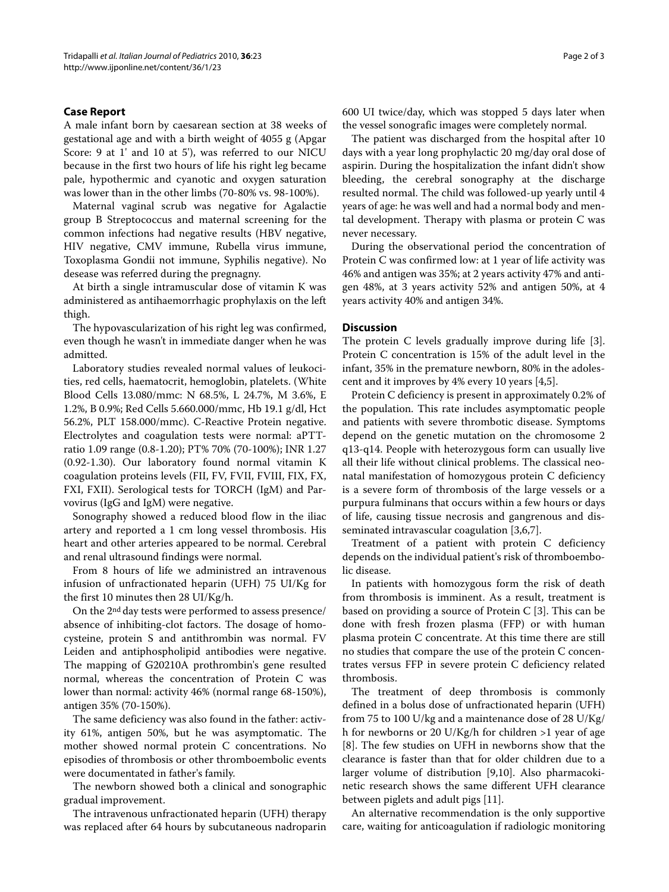### **Case Report**

A male infant born by caesarean section at 38 weeks of gestational age and with a birth weight of 4055 g (Apgar Score: 9 at 1' and 10 at 5'), was referred to our NICU because in the first two hours of life his right leg became pale, hypothermic and cyanotic and oxygen saturation was lower than in the other limbs (70-80% vs. 98-100%).

Maternal vaginal scrub was negative for Agalactie group B Streptococcus and maternal screening for the common infections had negative results (HBV negative, HIV negative, CMV immune, Rubella virus immune, Toxoplasma Gondii not immune, Syphilis negative). No desease was referred during the pregnagny.

At birth a single intramuscular dose of vitamin K was administered as antihaemorrhagic prophylaxis on the left thigh.

The hypovascularization of his right leg was confirmed, even though he wasn't in immediate danger when he was admitted.

Laboratory studies revealed normal values of leukocities, red cells, haematocrit, hemoglobin, platelets. (White Blood Cells 13.080/mmc: N 68.5%, L 24.7%, M 3.6%, E 1.2%, B 0.9%; Red Cells 5.660.000/mmc, Hb 19.1 g/dl, Hct 56.2%, PLT 158.000/mmc). C-Reactive Protein negative. Electrolytes and coagulation tests were normal: aPTTratio 1.09 range (0.8-1.20); PT% 70% (70-100%); INR 1.27 (0.92-1.30). Our laboratory found normal vitamin K coagulation proteins levels (FII, FV, FVII, FVIII, FIX, FX, FXI, FXII). Serological tests for TORCH (IgM) and Parvovirus (IgG and IgM) were negative.

Sonography showed a reduced blood flow in the iliac artery and reported a 1 cm long vessel thrombosis. His heart and other arteries appeared to be normal. Cerebral and renal ultrasound findings were normal.

From 8 hours of life we administred an intravenous infusion of unfractionated heparin (UFH) 75 UI/Kg for the first 10 minutes then 28 UI/Kg/h.

On the 2nd day tests were performed to assess presence/ absence of inhibiting-clot factors. The dosage of homocysteine, protein S and antithrombin was normal. FV Leiden and antiphospholipid antibodies were negative. The mapping of G20210A prothrombin's gene resulted normal, whereas the concentration of Protein C was lower than normal: activity 46% (normal range 68-150%), antigen 35% (70-150%).

The same deficiency was also found in the father: activity 61%, antigen 50%, but he was asymptomatic. The mother showed normal protein C concentrations. No episodies of thrombosis or other thromboembolic events were documentated in father's family.

The newborn showed both a clinical and sonographic gradual improvement.

The intravenous unfractionated heparin (UFH) therapy was replaced after 64 hours by subcutaneous nadroparin 600 UI twice/day, which was stopped 5 days later when the vessel sonografic images were completely normal.

The patient was discharged from the hospital after 10 days with a year long prophylactic 20 mg/day oral dose of aspirin. During the hospitalization the infant didn't show bleeding, the cerebral sonography at the discharge resulted normal. The child was followed-up yearly until 4 years of age: he was well and had a normal body and mental development. Therapy with plasma or protein C was never necessary.

During the observational period the concentration of Protein C was confirmed low: at 1 year of life activity was 46% and antigen was 35%; at 2 years activity 47% and antigen 48%, at 3 years activity 52% and antigen 50%, at 4 years activity 40% and antigen 34%.

#### **Discussion**

The protein C levels gradually improve during life [\[3](#page-2-2)]. Protein C concentration is 15% of the adult level in the infant, 35% in the premature newborn, 80% in the adolescent and it improves by 4% every 10 years [\[4](#page-2-3)[,5](#page-2-4)].

Protein C deficiency is present in approximately 0.2% of the population. This rate includes asymptomatic people and patients with severe thrombotic disease. Symptoms depend on the genetic mutation on the chromosome 2 q13-q14. People with heterozygous form can usually live all their life without clinical problems. The classical neonatal manifestation of homozygous protein C deficiency is a severe form of thrombosis of the large vessels or a purpura fulminans that occurs within a few hours or days of life, causing tissue necrosis and gangrenous and disseminated intravascular coagulation [[3](#page-2-2),[6,](#page-2-5)[7\]](#page-2-6).

Treatment of a patient with protein C deficiency depends on the individual patient's risk of thromboembolic disease.

In patients with homozygous form the risk of death from thrombosis is imminent. As a result, treatment is based on providing a source of Protein C [\[3](#page-2-2)]. This can be done with fresh frozen plasma (FFP) or with human plasma protein C concentrate. At this time there are still no studies that compare the use of the protein C concentrates versus FFP in severe protein C deficiency related thrombosis.

The treatment of deep thrombosis is commonly defined in a bolus dose of unfractionated heparin (UFH) from 75 to 100 U/kg and a maintenance dose of 28 U/Kg/ h for newborns or 20 U/Kg/h for children >1 year of age [[8\]](#page-2-7). The few studies on UFH in newborns show that the clearance is faster than that for older children due to a larger volume of distribution [\[9](#page-2-8)[,10](#page-2-9)]. Also pharmacokinetic research shows the same different UFH clearance between piglets and adult pigs [\[11](#page-2-10)].

An alternative recommendation is the only supportive care, waiting for anticoagulation if radiologic monitoring